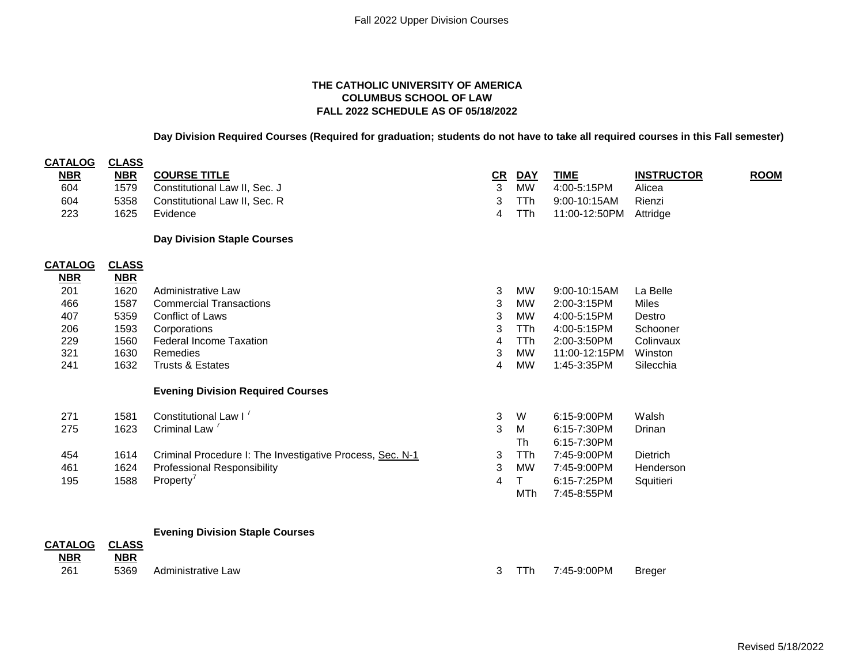## **THE CATHOLIC UNIVERSITY OF AMERICA COLUMBUS SCHOOL OF LAW FALL 2022 SCHEDULE AS OF 05/18/2022**

**Day Division Required Courses (Required for graduation; students do not have to take all required courses in this Fall semester)**

| <b>CATALOG</b> | <b>CLASS</b> |                                                           |    |            |               |                   |             |
|----------------|--------------|-----------------------------------------------------------|----|------------|---------------|-------------------|-------------|
| <b>NBR</b>     | <b>NBR</b>   | <b>COURSE TITLE</b>                                       | CR | <b>DAY</b> | <b>TIME</b>   | <b>INSTRUCTOR</b> | <b>ROOM</b> |
| 604            | 1579         | Constitutional Law II, Sec. J                             | 3  | MW         | 4:00-5:15PM   | Alicea            |             |
| 604            | 5358         | Constitutional Law II, Sec. R                             | 3  | TTh        | 9:00-10:15AM  | Rienzi            |             |
| 223            | 1625         | Evidence                                                  | 4  | <b>TTh</b> | 11:00-12:50PM | Attridge          |             |
|                |              | <b>Day Division Staple Courses</b>                        |    |            |               |                   |             |
| <b>CATALOG</b> | <b>CLASS</b> |                                                           |    |            |               |                   |             |
| <b>NBR</b>     | <b>NBR</b>   |                                                           |    |            |               |                   |             |
| 201            | 1620         | Administrative Law                                        | 3  | <b>MW</b>  | 9:00-10:15AM  | La Belle          |             |
| 466            | 1587         | <b>Commercial Transactions</b>                            | 3  | <b>MW</b>  | 2:00-3:15PM   | <b>Miles</b>      |             |
| 407            | 5359         | <b>Conflict of Laws</b>                                   | 3  | <b>MW</b>  | 4:00-5:15PM   | Destro            |             |
| 206            | 1593         | Corporations                                              | 3  | TTh        | 4:00-5:15PM   | Schooner          |             |
| 229            | 1560         | <b>Federal Income Taxation</b>                            | 4  | TTh        | 2:00-3:50PM   | Colinvaux         |             |
| 321            | 1630         | Remedies                                                  | 3  | MW         | 11:00-12:15PM | Winston           |             |
| 241            | 1632         | Trusts & Estates                                          | 4  | <b>MW</b>  | 1:45-3:35PM   | Silecchia         |             |
|                |              | <b>Evening Division Required Courses</b>                  |    |            |               |                   |             |
| 271            | 1581         | Constitutional Law I <sup>7</sup>                         | 3  | W          | 6:15-9:00PM   | Walsh             |             |
| 275            | 1623         | Criminal Law <sup>7</sup>                                 | 3  | M          | 6:15-7:30PM   | Drinan            |             |
|                |              |                                                           |    | Th         | 6:15-7:30PM   |                   |             |
| 454            | 1614         | Criminal Procedure I: The Investigative Process, Sec. N-1 | 3  | TTh        | 7:45-9:00PM   | <b>Dietrich</b>   |             |
| 461            | 1624         | <b>Professional Responsibility</b>                        | 3  | <b>MW</b>  | 7:45-9:00PM   | Henderson         |             |
| 195            | 1588         | Property <sup>'</sup>                                     | 4  | T          | 6:15-7:25PM   | Squitieri         |             |
|                |              |                                                           |    | <b>MTh</b> | 7:45-8:55PM   |                   |             |
|                |              |                                                           |    |            |               |                   |             |
| <b>CATALOG</b> | <b>CLASS</b> | <b>Evening Division Staple Courses</b>                    |    |            |               |                   |             |
| <b>NBR</b>     | <b>NBR</b>   |                                                           |    |            |               |                   |             |
| 261            | 5369         | Administrative Law                                        | 3  | TTh        | 7:45-9:00PM   | <b>Breger</b>     |             |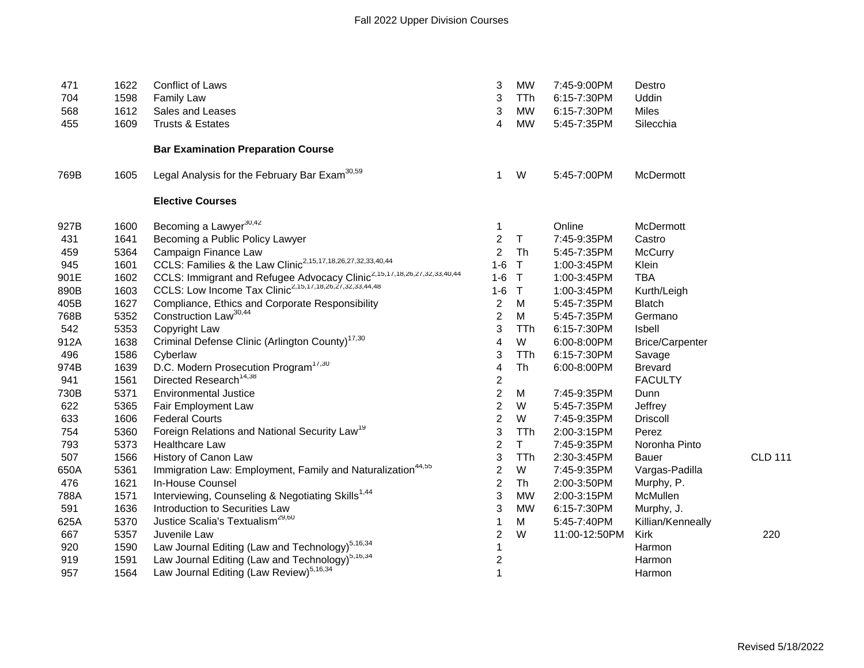| 471  | 1622 | <b>Conflict of Laws</b>                                                             | 3              | <b>MW</b>    | 7:45-9:00PM   | Destro                 |                |
|------|------|-------------------------------------------------------------------------------------|----------------|--------------|---------------|------------------------|----------------|
| 704  | 1598 | <b>Family Law</b>                                                                   | 3              | <b>TTh</b>   | 6:15-7:30PM   | Uddin                  |                |
| 568  | 1612 | Sales and Leases                                                                    | 3              | <b>MW</b>    | 6:15-7:30PM   | <b>Miles</b>           |                |
| 455  | 1609 | <b>Trusts &amp; Estates</b>                                                         | 4              | <b>MW</b>    | 5:45-7:35PM   | Silecchia              |                |
|      |      | <b>Bar Examination Preparation Course</b>                                           |                |              |               |                        |                |
| 769B | 1605 | Legal Analysis for the February Bar Exam <sup>30,59</sup>                           | 1              | W            | 5:45-7:00PM   | McDermott              |                |
|      |      | <b>Elective Courses</b>                                                             |                |              |               |                        |                |
| 927B | 1600 | Becoming a Lawyer <sup>30,42</sup>                                                  | 1              |              | Online        | McDermott              |                |
| 431  | 1641 | Becoming a Public Policy Lawyer                                                     | $\overline{2}$ | $\mathsf T$  | 7:45-9:35PM   | Castro                 |                |
| 459  | 5364 | Campaign Finance Law                                                                | $\overline{2}$ | Th           | 5:45-7:35PM   | McCurry                |                |
| 945  | 1601 | CCLS: Families & the Law Clinic <sup>2,15,17,18,26,27,32,33,40,44</sup>             | $1 - 6$        | $\mathsf T$  | 1:00-3:45PM   | Klein                  |                |
| 901E | 1602 | CCLS: Immigrant and Refugee Advocacy Clinic <sup>2,15,17,18,26,27,32,33,40,44</sup> | $1-6$          | $\mathsf{T}$ | 1:00-3:45PM   | <b>TBA</b>             |                |
| 890B | 1603 | CCLS: Low Income Tax Clinic <sup>2,15,17,18,26,27,32,33,44,48</sup>                 | $1 - 6$        | $\mathsf{T}$ | 1:00-3:45PM   | Kurth/Leigh            |                |
| 405B | 1627 | Compliance, Ethics and Corporate Responsibility                                     | $\overline{2}$ | М            | 5:45-7:35PM   | <b>Blatch</b>          |                |
| 768B | 5352 | Construction Law <sup>30,44</sup>                                                   | $\overline{2}$ | M            | 5:45-7:35PM   | Germano                |                |
| 542  | 5353 | Copyright Law                                                                       | 3              | <b>TTh</b>   | 6:15-7:30PM   | Isbell                 |                |
| 912A | 1638 | Criminal Defense Clinic (Arlington County) <sup>17,30</sup>                         | 4              | W            | 6:00-8:00PM   | <b>Brice/Carpenter</b> |                |
| 496  | 1586 | Cyberlaw                                                                            | 3              | TTh          | 6:15-7:30PM   | Savage                 |                |
| 974B | 1639 | D.C. Modern Prosecution Program <sup>17,30</sup>                                    | 4              | Th           | 6:00-8:00PM   | <b>Brevard</b>         |                |
| 941  | 1561 | Directed Research <sup>14,38</sup>                                                  | 2              |              |               | <b>FACULTY</b>         |                |
| 730B | 5371 | <b>Environmental Justice</b>                                                        | $\overline{2}$ | M            | 7:45-9:35PM   | Dunn                   |                |
| 622  | 5365 | Fair Employment Law                                                                 | $\overline{2}$ | W            | 5:45-7:35PM   | Jeffrey                |                |
| 633  | 1606 | <b>Federal Courts</b>                                                               | $\overline{c}$ | W            | 7:45-9:35PM   | <b>Driscoll</b>        |                |
| 754  | 5360 | Foreign Relations and National Security Law <sup>19</sup>                           | 3              | TTh          | 2:00-3:15PM   | Perez                  |                |
| 793  | 5373 | <b>Healthcare Law</b>                                                               | $\overline{2}$ | $\mathsf T$  | 7:45-9:35PM   | Noronha Pinto          |                |
| 507  | 1566 | History of Canon Law                                                                | 3              | TTh          | 2:30-3:45PM   | <b>Bauer</b>           | <b>CLD 111</b> |
| 650A | 5361 | Immigration Law: Employment, Family and Naturalization <sup>44,55</sup>             | 2              | W            | 7:45-9:35PM   | Vargas-Padilla         |                |
| 476  | 1621 | In-House Counsel                                                                    | $\overline{c}$ | Th           | 2:00-3:50PM   | Murphy, P.             |                |
| 788A | 1571 | Interviewing, Counseling & Negotiating Skills <sup>1,44</sup>                       | 3              | <b>MW</b>    | 2:00-3:15PM   | McMullen               |                |
| 591  | 1636 | Introduction to Securities Law                                                      | 3              | <b>MW</b>    | 6:15-7:30PM   | Murphy, J.             |                |
| 625A | 5370 | Justice Scalia's Textualism <sup>29,60</sup>                                        | 1              | M            | 5:45-7:40PM   | Killian/Kenneally      |                |
| 667  | 5357 | Juvenile Law                                                                        | 2              | W            | 11:00-12:50PM | <b>Kirk</b>            | 220            |
| 920  | 1590 | Law Journal Editing (Law and Technology) <sup>5,16,34</sup>                         | 1              |              |               | Harmon                 |                |
| 919  | 1591 | Law Journal Editing (Law and Technology) <sup>5,16,34</sup>                         | $\overline{c}$ |              |               | Harmon                 |                |
| 957  | 1564 | Law Journal Editing (Law Review) <sup>5,16,34</sup>                                 | $\mathbf 1$    |              |               | Harmon                 |                |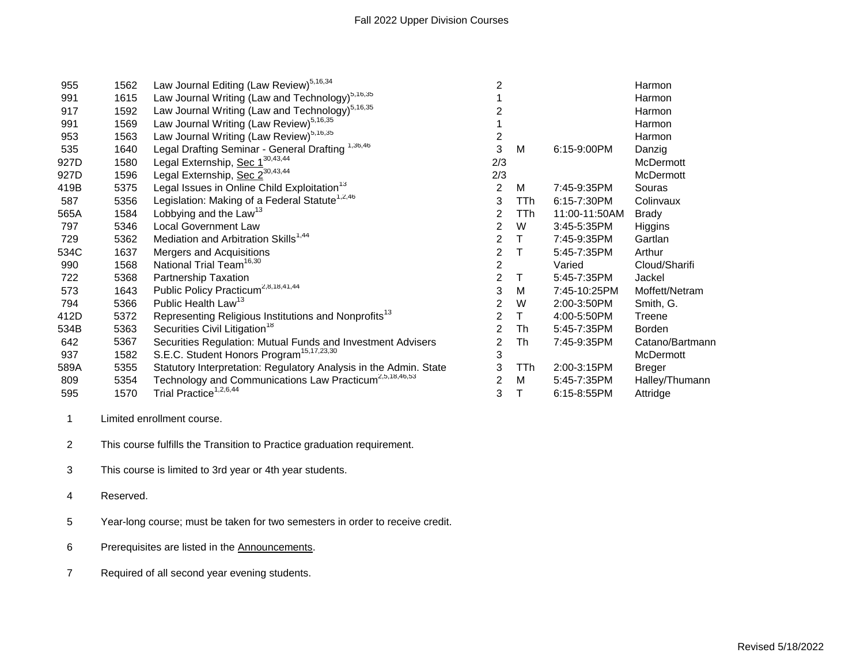| 955  | 1562 | Law Journal Editing (Law Review) <sup>5,16,34</sup>                 | $\overline{2}$ |      |               | Harmon          |
|------|------|---------------------------------------------------------------------|----------------|------|---------------|-----------------|
| 991  | 1615 | Law Journal Writing (Law and Technology) <sup>5,16,35</sup>         |                |      |               | Harmon          |
| 917  | 1592 | Law Journal Writing (Law and Technology) <sup>5,16,35</sup>         | 2              |      |               | Harmon          |
| 991  | 1569 | Law Journal Writing (Law Review) <sup>5,16,35</sup>                 |                |      |               | Harmon          |
| 953  | 1563 | Law Journal Writing (Law Review) <sup>5,16,35</sup>                 | $\overline{c}$ |      |               | Harmon          |
| 535  | 1640 | Legal Drafting Seminar - General Drafting 1,36,46                   | 3              | М    | 6:15-9:00PM   | Danzig          |
| 927D | 1580 | Legal Externship, Sec 1 <sup>30,43,44</sup>                         | 2/3            |      |               | McDermott       |
| 927D | 1596 | Legal Externship, Sec 2 <sup>30,43,44</sup>                         | 2/3            |      |               | McDermott       |
| 419B | 5375 | Legal Issues in Online Child Exploitation <sup>13</sup>             | $\overline{2}$ | М    | 7:45-9:35PM   | Souras          |
| 587  | 5356 | Legislation: Making of a Federal Statute <sup>1,2,46</sup>          | 3              | TTh  | 6:15-7:30PM   | Colinvaux       |
| 565A | 1584 | Lobbying and the Law <sup>13</sup>                                  | 2              | TTh  | 11:00-11:50AM | <b>Brady</b>    |
| 797  | 5346 | <b>Local Government Law</b>                                         | $\overline{2}$ | W    | 3:45-5:35PM   | Higgins         |
| 729  | 5362 | Mediation and Arbitration Skills <sup>1,44</sup>                    | 2              | Τ    | 7:45-9:35PM   | Gartlan         |
| 534C | 1637 | Mergers and Acquisitions                                            | 2              | т    | 5:45-7:35PM   | Arthur          |
| 990  | 1568 | National Trial Team <sup>16,30</sup>                                | $\overline{2}$ |      | Varied        | Cloud/Sharifi   |
| 722  | 5368 | <b>Partnership Taxation</b>                                         | $\overline{2}$ | Τ    | 5:45-7:35PM   | Jackel          |
| 573  | 1643 | Public Policy Practicum <sup>2,8,18,41,44</sup>                     | 3              | М    | 7:45-10:25PM  | Moffett/Netram  |
| 794  | 5366 | Public Health Law <sup>13</sup>                                     | 2              | W    | 2:00-3:50PM   | Smith, G.       |
| 412D | 5372 | Representing Religious Institutions and Nonprofits <sup>13</sup>    | $\overline{2}$ | Τ    | 4:00-5:50PM   | Treene          |
| 534B | 5363 | Securities Civil Litigation <sup>18</sup>                           | $\overline{2}$ | Th   | 5:45-7:35PM   | <b>Borden</b>   |
| 642  | 5367 | Securities Regulation: Mutual Funds and Investment Advisers         | 2              | Th   | 7:45-9:35PM   | Catano/Bartmann |
| 937  | 1582 | S.E.C. Student Honors Program <sup>15,17,23,30</sup>                | 3              |      |               | McDermott       |
| 589A | 5355 | Statutory Interpretation: Regulatory Analysis in the Admin. State   | 3              | TTh. | 2:00-3:15PM   | <b>Breger</b>   |
| 809  | 5354 | Technology and Communications Law Practicum <sup>2,5,18,46,53</sup> | $\overline{2}$ | М    | 5:45-7:35PM   | Halley/Thumann  |
| 595  | 1570 | Trial Practice <sup>1,2,6,44</sup>                                  | 3              |      | 6:15-8:55PM   | Attridge        |
|      |      |                                                                     |                |      |               |                 |

Limited enrollment course.

This course fulfills the Transition to Practice graduation requirement.

This course is limited to 3rd year or 4th year students.

Reserved.

Year-long course; must be taken for two semesters in order to receive credit.

Prerequisites are listed in the Announcements.

Required of all second year evening students.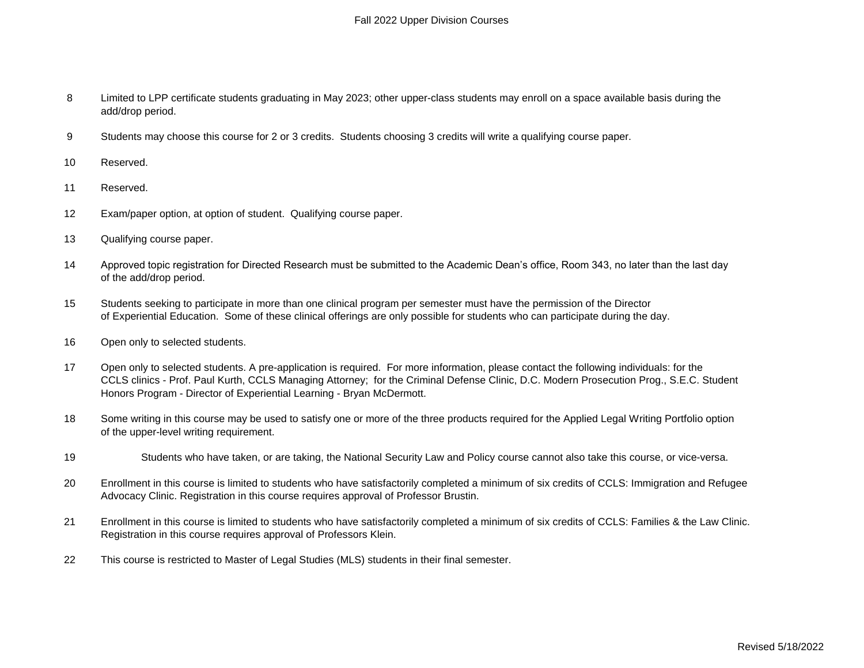- 8 Limited to LPP certificate students graduating in May 2023; other upper-class students may enroll on a space available basis during the add/drop period.
- 9 Students may choose this course for 2 or 3 credits. Students choosing 3 credits will write a qualifying course paper.
- 10 Reserved.
- 11 Reserved.
- 12 Exam/paper option, at option of student. Qualifying course paper.
- 13 Qualifying course paper.
- 14 Approved topic registration for Directed Research must be submitted to the Academic Dean's office, Room 343, no later than the last day of the add/drop period.
- 15 Students seeking to participate in more than one clinical program per semester must have the permission of the Director of Experiential Education. Some of these clinical offerings are only possible for students who can participate during the day.
- 16 Open only to selected students.
- 17 Open only to selected students. A pre-application is required. For more information, please contact the following individuals: for the CCLS clinics - Prof. Paul Kurth, CCLS Managing Attorney; for the Criminal Defense Clinic, D.C. Modern Prosecution Prog., S.E.C. Student Honors Program - Director of Experiential Learning - Bryan McDermott.
- 18 Some writing in this course may be used to satisfy one or more of the three products required for the Applied Legal Writing Portfolio option of the upper-level writing requirement.
- 19 Students who have taken, or are taking, the National Security Law and Policy course cannot also take this course, or vice-versa.
- 20 Enrollment in this course is limited to students who have satisfactorily completed a minimum of six credits of CCLS: Immigration and Refugee Advocacy Clinic. Registration in this course requires approval of Professor Brustin.
- 21 Enrollment in this course is limited to students who have satisfactorily completed a minimum of six credits of CCLS: Families & the Law Clinic. Registration in this course requires approval of Professors Klein.
- 22 This course is restricted to Master of Legal Studies (MLS) students in their final semester.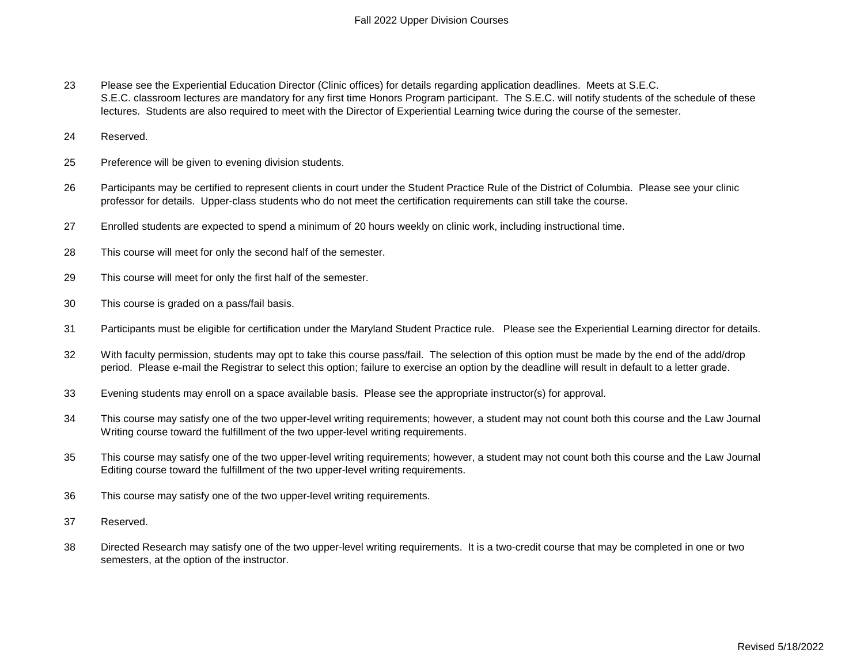- 23 Please see the Experiential Education Director (Clinic offices) for details regarding application deadlines. Meets at S.E.C. S.E.C. classroom lectures are mandatory for any first time Honors Program participant. The S.E.C. will notify students of the schedule of these lectures. Students are also required to meet with the Director of Experiential Learning twice during the course of the semester.
- 24 Reserved.
- 25 Preference will be given to evening division students.
- 26 Participants may be certified to represent clients in court under the Student Practice Rule of the District of Columbia. Please see your clinic professor for details. Upper-class students who do not meet the certification requirements can still take the course.
- 27 Enrolled students are expected to spend a minimum of 20 hours weekly on clinic work, including instructional time.
- 28 This course will meet for only the second half of the semester.
- 29 This course will meet for only the first half of the semester.
- 30 This course is graded on a pass/fail basis.
- 31 Participants must be eligible for certification under the Maryland Student Practice rule. Please see the Experiential Learning director for details.
- 32 With faculty permission, students may opt to take this course pass/fail. The selection of this option must be made by the end of the add/drop period. Please e-mail the Registrar to select this option; failure to exercise an option by the deadline will result in default to a letter grade.
- 33 Evening students may enroll on a space available basis. Please see the appropriate instructor(s) for approval.
- 34 This course may satisfy one of the two upper-level writing requirements; however, a student may not count both this course and the Law Journal Writing course toward the fulfillment of the two upper-level writing requirements.
- 35 This course may satisfy one of the two upper-level writing requirements; however, a student may not count both this course and the Law Journal Editing course toward the fulfillment of the two upper-level writing requirements.
- 36 This course may satisfy one of the two upper-level writing requirements.
- 37 Reserved.
- 38 Directed Research may satisfy one of the two upper-level writing requirements. It is a two-credit course that may be completed in one or two semesters, at the option of the instructor.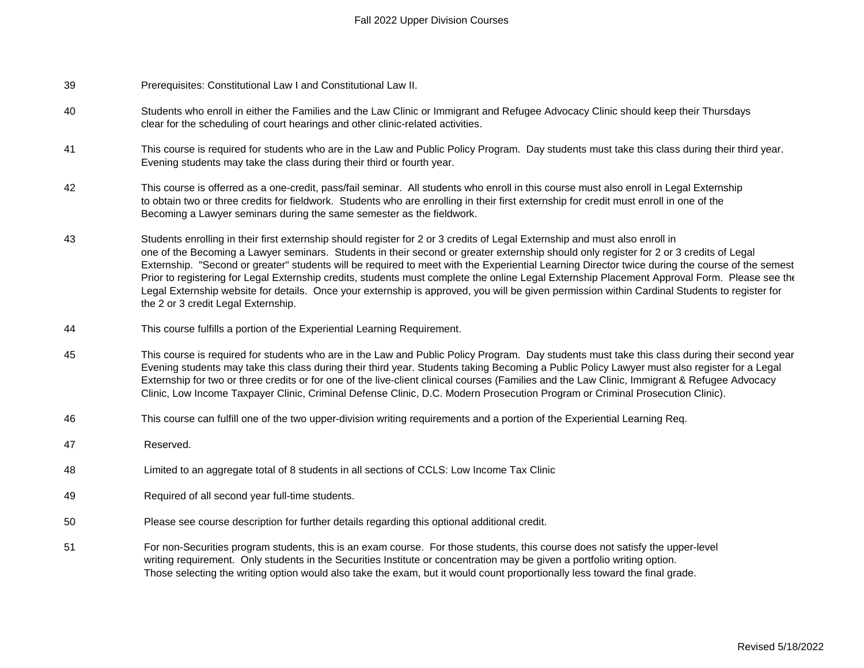## Fall 2022 Upper Division Courses

- 39 Prerequisites: Constitutional Law I and Constitutional Law II.
- 40 Students who enroll in either the Families and the Law Clinic or Immigrant and Refugee Advocacy Clinic should keep their Thursdays clear for the scheduling of court hearings and other clinic-related activities.
- 41 This course is required for students who are in the Law and Public Policy Program. Day students must take this class during their third year. Evening students may take the class during their third or fourth year.
- 42 This course is offerred as a one-credit, pass/fail seminar. All students who enroll in this course must also enroll in Legal Externship to obtain two or three credits for fieldwork. Students who are enrolling in their first externship for credit must enroll in one of the Becoming a Lawyer seminars during the same semester as the fieldwork.
- 43 Students enrolling in their first externship should register for 2 or 3 credits of Legal Externship and must also enroll in one of the Becoming a Lawyer seminars. Students in their second or greater externship should only register for 2 or 3 credits of Legal Externship. "Second or greater" students will be required to meet with the Experiential Learning Director twice during the course of the semest Prior to registering for Legal Externship credits, students must complete the online Legal Externship Placement Approval Form. Please see the Legal Externship website for details. Once your externship is approved, you will be given permission within Cardinal Students to register for the 2 or 3 credit Legal Externship.
- 44 This course fulfills a portion of the Experiential Learning Requirement.
- 45 This course is required for students who are in the Law and Public Policy Program. Day students must take this class during their second year. Evening students may take this class during their third year. Students taking Becoming a Public Policy Lawyer must also register for a Legal Externship for two or three credits or for one of the live-client clinical courses (Families and the Law Clinic, Immigrant & Refugee Advocacy Clinic, Low Income Taxpayer Clinic, Criminal Defense Clinic, D.C. Modern Prosecution Program or Criminal Prosecution Clinic).
- 46 This course can fulfill one of the two upper-division writing requirements and a portion of the Experiential Learning Req.
- 47 Reserved.
- 48 Limited to an aggregate total of 8 students in all sections of CCLS: Low Income Tax Clinic
- 49 Required of all second year full-time students.
- 50 Please see course description for further details regarding this optional additional credit.
- 51 For non-Securities program students, this is an exam course. For those students, this course does not satisfy the upper-level writing requirement. Only students in the Securities Institute or concentration may be given a portfolio writing option. Those selecting the writing option would also take the exam, but it would count proportionally less toward the final grade.